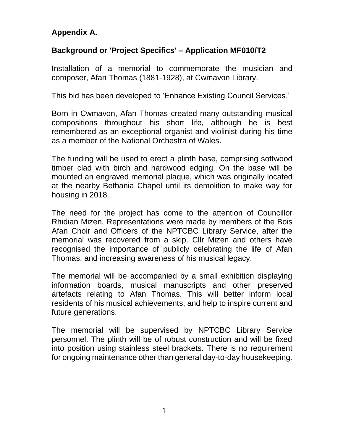## **Appendix A.**

## **Background or 'Project Specifics' – Application MF010/T2**

Installation of a memorial to commemorate the musician and composer, Afan Thomas (1881-1928), at Cwmavon Library.

This bid has been developed to 'Enhance Existing Council Services.'

Born in Cwmavon, Afan Thomas created many outstanding musical compositions throughout his short life, although he is best remembered as an exceptional organist and violinist during his time as a member of the National Orchestra of Wales.

The funding will be used to erect a plinth base, comprising softwood timber clad with birch and hardwood edging. On the base will be mounted an engraved memorial plaque, which was originally located at the nearby Bethania Chapel until its demolition to make way for housing in 2018.

The need for the project has come to the attention of Councillor Rhidian Mizen. Representations were made by members of the Bois Afan Choir and Officers of the NPTCBC Library Service, after the memorial was recovered from a skip. Cllr Mizen and others have recognised the importance of publicly celebrating the life of Afan Thomas, and increasing awareness of his musical legacy.

The memorial will be accompanied by a small exhibition displaying information boards, musical manuscripts and other preserved artefacts relating to Afan Thomas. This will better inform local residents of his musical achievements, and help to inspire current and future generations.

The memorial will be supervised by NPTCBC Library Service personnel. The plinth will be of robust construction and will be fixed into position using stainless steel brackets. There is no requirement for ongoing maintenance other than general day-to-day housekeeping.